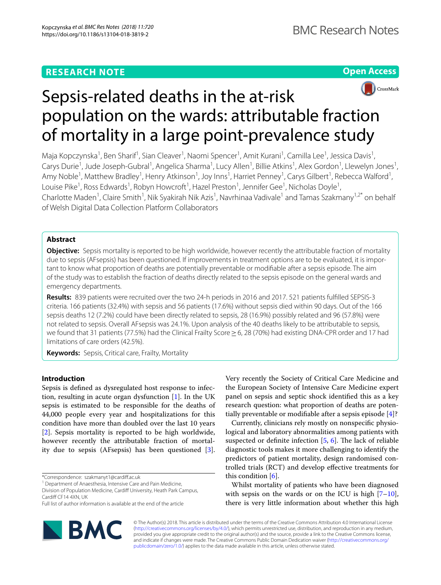# **RESEARCH NOTE**

**Open Access**



# Sepsis-related deaths in the at-risk population on the wards: attributable fraction of mortality in a large point-prevalence study

Maja Kopczynska<sup>1</sup>, Ben Sharif<sup>1</sup>, Sian Cleaver<sup>1</sup>, Naomi Spencer<sup>1</sup>, Amit Kurani<sup>1</sup>, Camilla Lee<sup>1</sup>, Jessica Davis<sup>1</sup>, Carys Durie<sup>1</sup>, Jude Joseph-Gubral<sup>1</sup>, Angelica Sharma<sup>1</sup>, Lucy Allen<sup>1</sup>, Billie Atkins<sup>1</sup>, Alex Gordon<sup>1</sup>, Llewelyn Jones<sup>1</sup>, Amy Noble<sup>1</sup>, Matthew Bradley<sup>1</sup>, Henry Atkinson<sup>1</sup>, Joy Inns<sup>1</sup>, Harriet Penney<sup>1</sup>, Carys Gilbert<sup>1</sup>, Rebecca Walford<sup>1</sup>, Louise Pike<sup>1</sup>, Ross Edwards<sup>1</sup>, Robyn Howcroft<sup>1</sup>, Hazel Preston<sup>1</sup>, Jennifer Gee<sup>1</sup>, Nicholas Doyle<sup>1</sup>, Charlotte Maden<sup>1</sup>, Claire Smith<sup>1</sup>, Nik Syakirah Nik Azis<sup>1</sup>, Navrhinaa Vadivale<sup>1</sup> and Tamas Szakmany<sup>1,2\*</sup> on behalf of Welsh Digital Data Collection Platform Collaborators

# **Abstract**

**Objective:** Sepsis mortality is reported to be high worldwide, however recently the attributable fraction of mortality due to sepsis (AFsepsis) has been questioned. If improvements in treatment options are to be evaluated, it is important to know what proportion of deaths are potentially preventable or modifable after a sepsis episode. The aim of the study was to establish the fraction of deaths directly related to the sepsis episode on the general wards and emergency departments.

**Results:** 839 patients were recruited over the two 24-h periods in 2016 and 2017. 521 patients fulflled SEPSIS-3 criteria. 166 patients (32.4%) with sepsis and 56 patients (17.6%) without sepsis died within 90 days. Out of the 166 sepsis deaths 12 (7.2%) could have been directly related to sepsis, 28 (16.9%) possibly related and 96 (57.8%) were not related to sepsis. Overall AFsepsis was 24.1%. Upon analysis of the 40 deaths likely to be attributable to sepsis, we found that 31 patients (77.5%) had the Clinical Frailty Score ≥ 6, 28 (70%) had existing DNA-CPR order and 17 had limitations of care orders (42.5%).

**Keywords:** Sepsis, Critical care, Frailty, Mortality

# **Introduction**

Sepsis is defned as dysregulated host response to infection, resulting in acute organ dysfunction [\[1](#page-4-0)]. In the UK sepsis is estimated to be responsible for the deaths of 44,000 people every year and hospitalizations for this condition have more than doubled over the last 10 years [[2\]](#page-4-1). Sepsis mortality is reported to be high worldwide, however recently the attributable fraction of mortality due to sepsis (AFsepsis) has been questioned [\[3](#page-4-2)].

Full list of author information is available at the end of the article



Very recently the Society of Critical Care Medicine and the European Society of Intensive Care Medicine expert panel on sepsis and septic shock identifed this as a key research question: what proportion of deaths are potentially preventable or modifable after a sepsis episode [\[4](#page-4-3)]?

Currently, clinicians rely mostly on nonspecifc physiological and laboratory abnormalities among patients with suspected or definite infection  $[5, 6]$  $[5, 6]$  $[5, 6]$  $[5, 6]$ . The lack of reliable diagnostic tools makes it more challenging to identify the predictors of patient mortality, design randomised controlled trials (RCT) and develop efective treatments for this condition [[6\]](#page-5-0).

Whilst mortality of patients who have been diagnosed with sepsis on the wards or on the ICU is high  $[7-10]$  $[7-10]$ , there is very little information about whether this high

© The Author(s) 2018. This article is distributed under the terms of the Creative Commons Attribution 4.0 International License [\(http://creativecommons.org/licenses/by/4.0/\)](http://creativecommons.org/licenses/by/4.0/), which permits unrestricted use, distribution, and reproduction in any medium, provided you give appropriate credit to the original author(s) and the source, provide a link to the Creative Commons license, and indicate if changes were made. The Creative Commons Public Domain Dedication waiver ([http://creativecommons.org/](http://creativecommons.org/publicdomain/zero/1.0/) [publicdomain/zero/1.0/](http://creativecommons.org/publicdomain/zero/1.0/)) applies to the data made available in this article, unless otherwise stated.

<sup>\*</sup>Correspondence: szakmanyt1@cardif.ac.uk

<sup>&</sup>lt;sup>1</sup> Department of Anaesthesia, Intensive Care and Pain Medicine,

Division of Population Medicine, Cardif University, Heath Park Campus, Cardif CF14 4XN, UK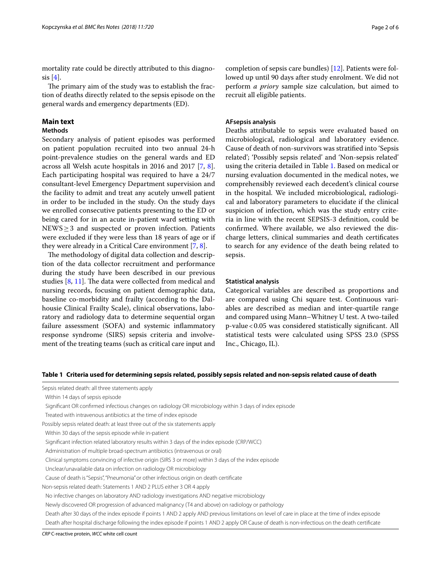mortality rate could be directly attributed to this diagnosis  $[4]$  $[4]$ .

The primary aim of the study was to establish the fraction of deaths directly related to the sepsis episode on the general wards and emergency departments (ED).

# **Main text**

# **Methods**

Secondary analysis of patient episodes was performed on patient population recruited into two annual 24-h point-prevalence studies on the general wards and ED across all Welsh acute hospitals in 2016 and 2017 [[7,](#page-5-1) [8](#page-5-3)]. Each participating hospital was required to have a 24/7 consultant-level Emergency Department supervision and the facility to admit and treat any acutely unwell patient in order to be included in the study. On the study days we enrolled consecutive patients presenting to the ED or being cared for in an acute in-patient ward setting with  $NEWS \geq 3$  and suspected or proven infection. Patients were excluded if they were less than 18 years of age or if they were already in a Critical Care environment [\[7](#page-5-1), [8\]](#page-5-3).

The methodology of digital data collection and description of the data collector recruitment and performance during the study have been described in our previous studies  $[8, 11]$  $[8, 11]$  $[8, 11]$  $[8, 11]$ . The data were collected from medical and nursing records, focusing on patient demographic data, baseline co-morbidity and frailty (according to the Dalhousie Clinical Frailty Scale), clinical observations, laboratory and radiology data to determine sequential organ failure assessment (SOFA) and systemic infammatory response syndrome (SIRS) sepsis criteria and involvement of the treating teams (such as critical care input and completion of sepsis care bundles) [\[12\]](#page-5-5). Patients were followed up until 90 days after study enrolment. We did not perform *a priory* sample size calculation, but aimed to recruit all eligible patients.

## **AFsepsis analysis**

Deaths attributable to sepsis were evaluated based on microbiological, radiological and laboratory evidence. Cause of death of non-survivors was stratifed into 'Sepsis related'; 'Possibly sepsis related' and 'Non-sepsis related' using the criteria detailed in Table [1.](#page-1-0) Based on medical or nursing evaluation documented in the medical notes, we comprehensibly reviewed each decedent's clinical course in the hospital. We included microbiological, radiological and laboratory parameters to elucidate if the clinical suspicion of infection, which was the study entry criteria in line with the recent SEPSIS-3 defnition, could be confrmed. Where available, we also reviewed the discharge letters, clinical summaries and death certifcates to search for any evidence of the death being related to sepsis.

## **Statistical analysis**

Categorical variables are described as proportions and are compared using Chi square test. Continuous variables are described as median and inter-quartile range and compared using Mann–Whitney U test. A two-tailed p-value<0.05 was considered statistically signifcant. All statistical tests were calculated using SPSS 23.0 (SPSS Inc., Chicago, IL).

## <span id="page-1-0"></span>**Table 1 Criteria used for determining sepsis related, possibly sepsis related and non-sepsis related cause of death**

Sepsis related death: all three statements apply

Within 14 days of sepsis episode

Within 30 days of the sepsis episode while in-patient

Unclear/unavailable data on infection on radiology OR microbiology

Death after 30 days of the index episode if points 1 AND 2 apply AND previous limitations on level of care in place at the time of index episode Death after hospital discharge following the index episode if points 1 AND 2 apply OR Cause of death is non-infectious on the death certifcate

*CRP* C-reactive protein, *WCC* white cell count

Signifcant OR confrmed infectious changes on radiology OR microbiology within 3 days of index episode

Treated with intravenous antibiotics at the time of index episode

Possibly sepsis related death: at least three out of the six statements apply

Signifcant infection related laboratory results within 3 days of the index episode (CRP/WCC)

Administration of multiple broad-spectrum antibiotics (intravenous or oral)

Clinical symptoms convincing of infective origin (SIRS 3 or more) within 3 days of the index episode

Cause of death is "Sepsis", "Pneumonia" or other infectious origin on death certifcate

Non-sepsis related death: Statements 1 AND 2 PLUS either 3 OR 4 apply

No infective changes on laboratory AND radiology investigations AND negative microbiology

Newly discovered OR progression of advanced malignancy (T4 and above) on radiology or pathology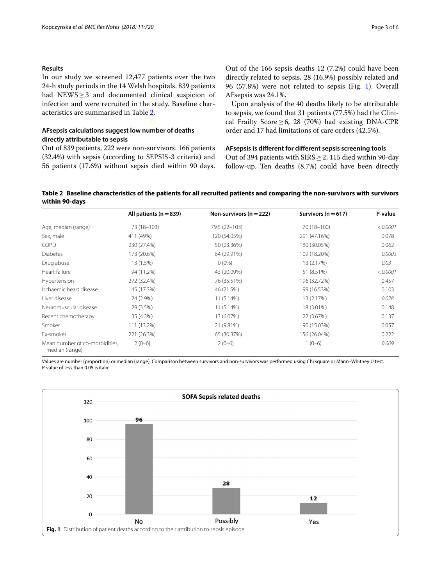## **Results**

In our study we screened 12,477 patients over the two 24-h study periods in the 14 Welsh hospitals. 839 patients had NEWS≥3 and documented clinical suspicion of infection and were recruited in the study. Baseline characteristics are summarised in Table [2](#page-2-0).

# **AFsepsis calculations suggest low number of deaths directly attributable to sepsis**

Out of 839 patients, 222 were non-survivors. 166 patients (32.4%) with sepsis (according to SEPSIS-3 criteria) and 56 patients (17.6%) without sepsis died within 90 days. Out of the 166 sepsis deaths 12 (7.2%) could have been directly related to sepsis, 28 (16.9%) possibly related and 96 (57.8%) were not related to sepsis (Fig. [1](#page-2-1)). Overall AFsepsis was 24.1%.

Upon analysis of the 40 deaths likely to be attributable to sepsis, we found that 31 patients (77.5%) had the Clinical Frailty Score  $\geq$  6, 28 (70%) had existing DNA-CPR order and 17 had limitations of care orders (42.5%).

# **AFsepsis is diferent for diferent sepsis screening tools**

Out of 394 patients with  $SIRS \geq 2$ , 115 died within 90-day follow-up. Ten deaths (8.7%) could have been directly

<span id="page-2-0"></span>**Table 2 Baseline characteristics of the patients for all recruited patients and comparing the non-survivors with survivors within 90-days**

|                                                  | All patients ( $n = 839$ ) | Non-survivors ( $n = 222$ ) | Survivors ( $n = 617$ ) | P-value  |
|--------------------------------------------------|----------------------------|-----------------------------|-------------------------|----------|
| Age, median (range)                              | 73 (18-103)                | 79.5 (22-103)               | 70 (18-100)             | < 0.0001 |
| Sex, male                                        | 411 (49%)                  | 120 (54.05%)                | 291 (47.16%)            | 0.078    |
| <b>COPD</b>                                      | 230 (27.4%)                | 50 (23.36%)                 | 180 (30.05%)            | 0.062    |
| <b>Diabetes</b>                                  | 173 (20.6%)                | 64 (29.91%)                 | 109 (18.20%)            | 0.0003   |
| Drug abuse                                       | 13 (1.5%)                  | $0(0\%)$                    | 13 (2.17%)              | 0.03     |
| Heart failure                                    | 94 (11.2%)                 | 43 (20.09%)                 | 51 (8.51%)              | < 0.0001 |
| Hypertension                                     | 272 (32.4%)                | 76 (35.51%)                 | 196 (32.72%)            | 0.457    |
| Ischaemic heart disease                          | 145 (17.3%)                | 46 (21.5%)                  | 99 (16.53%)             | 0.103    |
| Liver disease                                    | 24 (2.9%)                  | $11(5.14\%)$                | 13 (2.17%)              | 0.028    |
| Neuromuscular disease                            | 29 (3.5%)                  | 11 (5.14%)                  | 18 (3.01%)              | 0.148    |
| Recent chemotherapy                              | 35 (4.2%)                  | 13 (6.07%)                  | 22 (3.67%)              | 0.137    |
| Smoker                                           | 111 (13.2%)                | 21 (9.81%)                  | 90 (15.03%)             | 0.057    |
| Ex-smoker                                        | 221 (26.3%)                | 65 (30.37%)                 | 156 (26.04%)            | 0.222    |
| Mean number of co-morbidities.<br>median (range) | $2(0-6)$                   | $2(0-6)$                    | $1(0-6)$                | 0.009    |

Values are number (proportion) or median (range). Comparison between survivors and non-survivors was performed using Chi square or Mann–Whitney U test. P-value of less than 0.05 is italic

<span id="page-2-1"></span>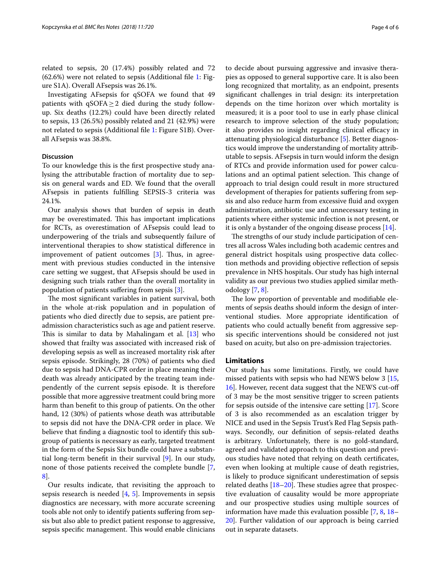related to sepsis, 20 (17.4%) possibly related and 72 (62.6%) were not related to sepsis (Additional fle [1](#page-4-5): Figure S1A). Overall AFsepsis was 26.1%.

Investigating AFsepsis for qSOFA we found that 49 patients with qSOFA≥2 died during the study followup. Six deaths (12.2%) could have been directly related to sepsis, 13 (26.5%) possibly related and 21 (42.9%) were not related to sepsis (Additional fle [1:](#page-4-5) Figure S1B). Overall AFsepsis was 38.8%.

## **Discussion**

To our knowledge this is the frst prospective study analysing the attributable fraction of mortality due to sepsis on general wards and ED. We found that the overall AFsepsis in patients fulflling SEPSIS-3 criteria was 24.1%.

Our analysis shows that burden of sepsis in death may be overestimated. This has important implications for RCTs, as overestimation of AFsepsis could lead to underpowering of the trials and subsequently failure of interventional therapies to show statistical diference in improvement of patient outcomes  $[3]$  $[3]$ . Thus, in agreement with previous studies conducted in the intensive care setting we suggest, that AFsepsis should be used in designing such trials rather than the overall mortality in population of patients sufering from sepsis [[3\]](#page-4-2).

The most significant variables in patient survival, both in the whole at-risk population and in population of patients who died directly due to sepsis, are patient preadmission characteristics such as age and patient reserve. This is similar to data by Mahalingam et al. [[13](#page-5-6)] who showed that frailty was associated with increased risk of developing sepsis as well as increased mortality risk after sepsis episode. Strikingly, 28 (70%) of patients who died due to sepsis had DNA-CPR order in place meaning their death was already anticipated by the treating team independently of the current sepsis episode. It is therefore possible that more aggressive treatment could bring more harm than beneft to this group of patients. On the other hand, 12 (30%) of patients whose death was attributable to sepsis did not have the DNA-CPR order in place. We believe that fnding a diagnostic tool to identify this subgroup of patients is necessary as early, targeted treatment in the form of the Sepsis Six bundle could have a substantial long-term beneft in their survival [[9\]](#page-5-7). In our study, none of those patients received the complete bundle [\[7](#page-5-1), [8\]](#page-5-3).

Our results indicate, that revisiting the approach to sepsis research is needed  $[4, 5]$  $[4, 5]$  $[4, 5]$  $[4, 5]$  $[4, 5]$ . Improvements in sepsis diagnostics are necessary, with more accurate screening tools able not only to identify patients sufering from sepsis but also able to predict patient response to aggressive, sepsis specific management. This would enable clinicians to decide about pursuing aggressive and invasive therapies as opposed to general supportive care. It is also been long recognized that mortality, as an endpoint, presents signifcant challenges in trial design: its interpretation depends on the time horizon over which mortality is measured; it is a poor tool to use in early phase clinical research to improve selection of the study population; it also provides no insight regarding clinical efficacy in attenuating physiological disturbance [[5\]](#page-4-4). Better diagnostics would improve the understanding of mortality attributable to sepsis. AFsepsis in turn would inform the design of RTCs and provide information used for power calculations and an optimal patient selection. This change of approach to trial design could result in more structured development of therapies for patients sufering from sepsis and also reduce harm from excessive fuid and oxygen

it is only a bystander of the ongoing disease process [[14\]](#page-5-8). The strengths of our study include participation of centres all across Wales including both academic centres and general district hospitals using prospective data collection methods and providing objective refection of sepsis prevalence in NHS hospitals. Our study has high internal validity as our previous two studies applied similar methodology [\[7,](#page-5-1) [8](#page-5-3)].

administration, antibiotic use and unnecessary testing in patients where either systemic infection is not present, or

The low proportion of preventable and modifiable elements of sepsis deaths should inform the design of interventional studies. More appropriate identifcation of patients who could actually beneft from aggressive sepsis specifc interventions should be considered not just based on acuity, but also on pre-admission trajectories.

## **Limitations**

Our study has some limitations. Firstly, we could have missed patients with sepsis who had NEWS below 3 [[15](#page-5-9), [16\]](#page-5-10). However, recent data suggest that the NEWS cut-of of 3 may be the most sensitive trigger to screen patients for sepsis outside of the intensive care setting [[17\]](#page-5-11). Score of 3 is also recommended as an escalation trigger by NICE and used in the Sepsis Trust's Red Flag Sepsis pathways. Secondly, our defnition of sepsis-related deaths is arbitrary. Unfortunately, there is no gold-standard, agreed and validated approach to this question and previous studies have noted that relying on death certifcates, even when looking at multiple cause of death registries, is likely to produce signifcant underestimation of sepsis related deaths  $[18–20]$  $[18–20]$  $[18–20]$ . These studies agree that prospective evaluation of causality would be more appropriate and our prospective studies using multiple sources of information have made this evaluation possible [[7](#page-5-1), [8](#page-5-3), [18–](#page-5-12) [20\]](#page-5-13). Further validation of our approach is being carried out in separate datasets.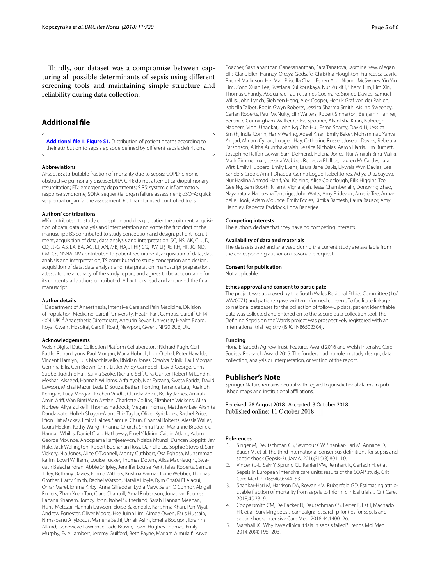Thirdly, our dataset was a compromise between capturing all possible determinants of sepsis using diferent screening tools and maintaining simple structure and reliability during data collection.

# **Additional fle**

<span id="page-4-5"></span>**Additional file 1: Figure S1.** Distribution of patient deaths according to their attribution to sepsis episode defned by diferent sepsis defnitions.

#### **Abbreviations**

AFsepsis: attributable fraction of mortality due to sepsis; COPD: chronic obstructive pulmonary disease; DNA-CPR: do not attempt cardiopulmonary resuscitation; ED: emergency departments; SIRS: systemic infammatory response syndrome; SOFA: sequential organ failure assessment; qSOFA: quick sequential organ failure assessment; RCT: randomised controlled trials.

#### **Authors' contributions**

MK contributed to study conception and design, patient recruitment, acquisition of data, data analysis and interpretation and wrote the frst draft of the manuscript; BS contributed to study conception and design, patient recruitment, acquisition of data, data analysis and interpretation; SC, NS, AK, CL, JD, CD, JJ-G, AS, LA, BA, AG, LJ, AN, MB, HA, JI, HP, CG, RW, LP, RE, RH, HP, JG, ND, CM, CS, NSNA, NV contributed to patient recruitment, acquisition of data, data analysis and interpretation; TS contributed to study conception and design, acquisition of data, data analysis and interpretation, manuscript preparation, attests to the accuracy of the study report, and agrees to be accountable for its contents; all authors contributed. All authors read and approved the fnal manuscript.

#### **Author details**

<sup>1</sup> Department of Anaesthesia, Intensive Care and Pain Medicine, Division of Population Medicine, Cardif University, Heath Park Campus, Cardif CF14 4XN, UK. <sup>2</sup> Anaesthetic Directorate, Aneurin Bevan University Health Board, Royal Gwent Hospital, Cardif Road, Newport, Gwent NP20 2UB, UK.

#### **Acknowledgements**

Welsh Digital Data Collection Platform Collaborators: Richard Pugh, Ceri Battle, Ronan Lyons, Paul Morgan, Maria Hobrok, Igor Otahal, Peter Havalda, Vincent Hamlyn, Luis Macchiavello, Rhidian Jones, Orsolya Minik, Paul Morgan, Gemma Ellis, Ceri Brown, Chris Littler, Andy Campbell, David George, Chris Subbe, Judith E Hall, Szilvia Szoke, Richard Self, Una Gunter, Robert M Lundin, Meshari Alsaeed, Hannah Williams, Arfa Ayob, Nor Farzana, Sweta Parida, David Lawson, Michal Mazur, Lezia D'Souza, Bethan Ponting, Terrance Lau, Ruairidh Kerrigan, Lucy Morgan, Roshan Vindla, Claudia Zeicu, Becky James, Amirah Amin Arif, Wan Binti Wan Azzlan, Charlotte Collins, Elizabeth Wickens, Alisa Norbee, Aliya Zulkefi, Thomas Haddock, Megan Thomas, Matthew Lee, Akshita Dandawate, Holleh Shayan-Arani, Ellie Taylor, Oliver Kyriakides, Rachel Price, Ffon Haf Mackey, Emily Haines, Samuel Chun, Chantal Roberts, Alessia Waller, Laura Heekin, Kathy Wang, Rhianna Church, Shrina Patel, Marianne Broderick, Hannah Whillis, Daniel Craig Hathaway, Emel Yildirim, Caitlin Atkins, Adam George Mounce, Anoopama Ramjeeawon, Ndaba Mtunzi, Duncan Soppitt, Jay Hale, Jack Wellington, Robert Buchanan Ross, Danielle Lis, Sophie Stovold, Sam Vickery, Nia Jones, Alice O'Donnell, Monty Cuthbert, Osa Eghosa, Muhammad Karim, Lowri Williams, Louise Tucker, Thomas Downs, Ailsa MacNaught, Swagath Balachandran, Abbie Shipley, Jennifer Louise Kent, Talea Roberts, Samuel Tilley, Bethany Davies, Emma Withers, Krishna Parmar, Lucie Webber, Thomas Grother, Harry Smith, Rachel Watson, Natalie Hoyle, Rym Chafai El Alaoui, Omar Marei, Emma Kirby, Anna Gilfedder, Lydia Maw, Sarah O'Connor, Abigail Rogers, Zhao Xuan Tan, Clare Chantrill, Amal Robertson, Jonathan Foulkes, Rahana Khanam, Jomcy John, Isobel Sutherland, Sarah Hannah Meehan, Huria Metezai, Hannah Dawson, Eloise Baxendale, Karishma Khan, Pan Myat, Andrew Forrester, Oliver Moore, Hse Juinn Lim, Aimee Owen, Faris Hussain, Nima-banu Allybocus, Maneha Sethi, Umair Asim, Emelia Boggon, Ibrahim Alkurd, Genevieve Lawrence, Jade Brown, Lowri Hughes Thomas, Emily Murphy, Evie Lambert, Jeremy Guilford, Beth Payne, Mariam Almulaif, Arwel

Poacher, Sashiananthan Ganesananthan, Sara Tanatova, Jasmine Kew, Megan Eilis Clark, Ellen Hannay, Olesya Godsafe, Christina Houghton, Francesca Lavric, Rachel Mallinson, Hei Man Priscilla Chan, Eshen Ang, Niamh McSwiney, Yin Yin Lim, Zong Xuan Lee, Svetlana Kulikouskaya, Nur Zulkifi, Sheryl Lim, Lim Xin, Thomas Chandy, Abduahad Taufk, James Cochrane, Sioned Davies, Samuel Willis, John Lynch, Sieh Yen Heng, Alex Cooper, Henrik Graf von der Pahlen, Isabella Talbot, Robin Gwyn Roberts, Jessica Sharma Smith, Aisling Sweeney, Cerian Roberts, Paul McNulty, Elin Walters, Robert Sinnerton, Benjamin Tanner, Berenice Cunningham-Walker, Chloe Spooner, Akanksha Kiran, Nabeegh Nadeem, Vidhi Unadkat, John Ng Cho Hui, Esme Sparey, David Li, Jessica Smith, India Corrin, Harry Waring, Adeel Khan, Emily Baker, Mohammad Yahya Amjad, Miriam Cynan, Imogen Hay, Catherine Russell, Joseph Davies, Rebecca Parsonson, Ajitha Arunthavarajah, Jessica Nicholas, Aaron Harris, Tim Burnett, Josephine Rafan Gowar, Sam DeFriend, Helena Jones, Nur Amirah Binti Maliki, Mark Zimmerman, Jessica Webber, Rebecca Phillips, Lauren McCarthy, Lara Wirt, Emily Hubbard, Emily Evans, Laura Jane Davis, Llywela Wyn Davies, Lee Sanders-Crook, Amrit Dhadda, Genna Logue, Isabel Jones, Adiya Urazbayeva, Nur Haslina Ahmad Hanif, Yau Ke Ying, Alice Coleclough, Eilis Higgins, Tze Gee Ng, Sam Booth, Nilarnti Vignarajah, Tessa Chamberlain, Dongying Zhao, Nayanatara Nadeesha Tantirige, John Watts, Amy Prideaux, Amelia Tee, Anna‑ belle Hook, Adam Mounce, Emily Eccles, Kirtika Ramesh, Laura Bausor, Amy Handley, Rebecca Paddock, Lopa Banerjee.

#### **Competing interests**

The authors declare that they have no competing interests.

#### **Availability of data and materials**

The datasets used and analysed during the current study are available from the corresponding author on reasonable request.

#### **Consent for publication**

Not applicable.

#### **Ethics approval and consent to participate**

The project was approved by the South Wales Regional Ethics Committee (16/ WA/0071) and patients gave written informed consent. To facilitate linkage to national databases for the collection of follow-up data, patient identifable data was collected and entered on to the secure data collection tool. The Defning Sepsis on the Wards project was prospectively registered with an international trial registry (ISRCTN86502304).

#### **Funding**

Fiona Elizabeth Agnew Trust: Features Award 2016 and Welsh Intensive Care Society Research Award 2015. The funders had no role in study design, data collection, analysis or interpretation, or writing of the report.

#### **Publisher's Note**

Springer Nature remains neutral with regard to jurisdictional claims in published maps and institutional afliations.

Received: 28 August 2018 Accepted: 3 October 2018

## **References**

- <span id="page-4-0"></span>1. Singer M, Deutschman CS, Seymour CW, Shankar-Hari M, Annane D, Bauer M, et al. The third international consensus defnitions for sepsis and septic shock (Sepsis-3). JAMA. 2016;315(8):801–10.
- <span id="page-4-1"></span>2. Vincent J-L, Sakr Y, Sprung CL, Ranieri VM, Reinhart K, Gerlach H, et al. Sepsis in European intensive care units: results of the SOAP study. Crit Care Med. 2006;34(2):344–53.
- <span id="page-4-2"></span>3. Shankar-Hari M, Harrison DA, Rowan KM, Rubenfeld GD. Estimating attributable fraction of mortality from sepsis to inform clinical trials. J Crit Care. 2018;45:33–9.
- <span id="page-4-3"></span>4. Coopersmith CM, De Backer D, Deutschman CS, Ferrer R, Lat I, Machado FR, et al. Surviving sepsis campaign: research priorities for sepsis and septic shock. Intensive Care Med. 2018;44:1400–26.
- <span id="page-4-4"></span>5. Marshall JC. Why have clinical trials in sepsis failed? Trends Mol Med. 2014;20(4):195–203.